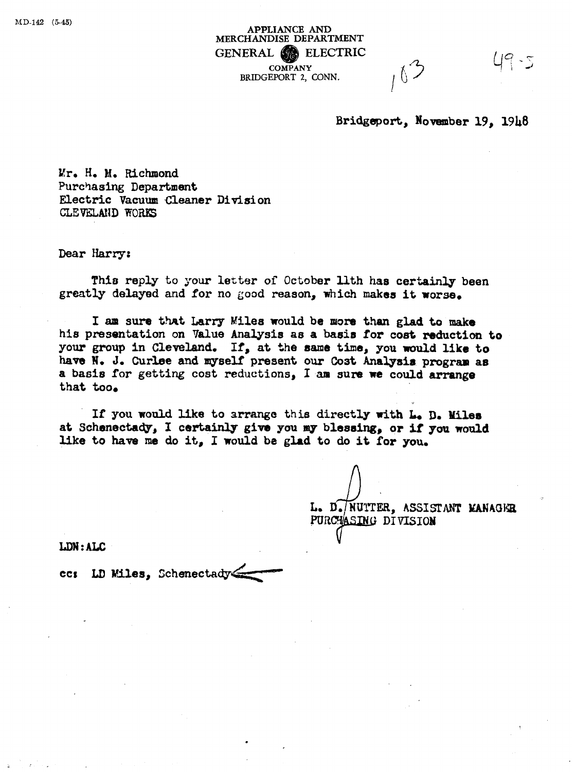**APPLIANCE AND MERCHANDISE DEPARTMENT GENERAL CONPANY**<br> **BRIDGEPORT 2, CONN.**  $\uparrow$ **COMPANY**  BRIDGEPORT **2,** CONN.

Bridgeport, November 19, 1948

 $19.5$ 

**Mr. He Me Richmond Purchasing Department Electric Vacuum Cleaner Divisi on**  CLEVELAND WORKS

Dear Harry:

This reply to your letter of October 11th has certainly been greatly **delayed and for no good reason,** which **makaa it** *worse.* 

**1 am sure** tht **Larry Miles would be** nore **than glad to make his presentation on 'lalue Analysis as a basis for cost mduction to your group in Cleveland, If, at %he name time, you nauld like to**  have N. J. Curlee and myself present our Cost Analysis program as **a** basis for getting cost reductions, I am sure we could arrange that **too.** 

**If you would like to arrange this directly uith L D. Miles at schsnectady, I certainly give you** *my* **blessing,** *or* **if yo9 would like to have me do it, I would be glad to do it for you.** 

L. D./NUTTER, ASSISTANT MANAGER PURCHASING DIVISION

LDN: ALC

cc: LD Miles, Schenectady